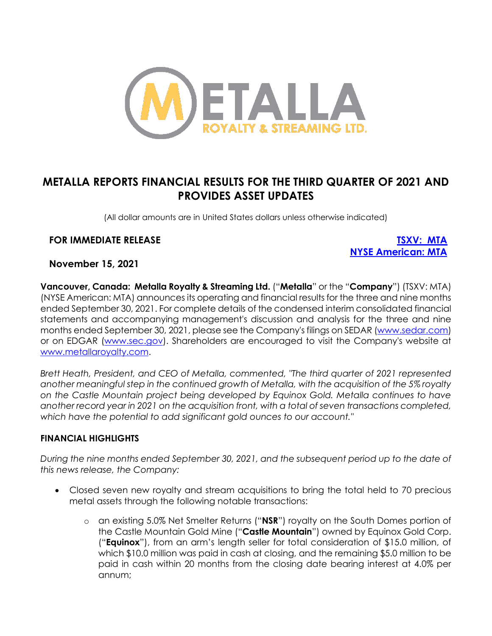

# **METALLA REPORTS FINANCIAL RESULTS FOR THE THIRD QUARTER OF 2021 AND PROVIDES ASSET UPDATES**

(All dollar amounts are in United States dollars unless otherwise indicated)

# **FOR IMMEDIATE RELEASE [TSXV: MTA](https://money.tmx.com/en/quote/MTA)**

**[NYSE American: MTA](https://www.nyse.com/quote/XASE:MTA)**

# **November 15, 2021**

**Vancouver, Canada: Metalla Royalty & Streaming Ltd.** ("**Metalla**" or the "**Company**") (TSXV: MTA) (NYSE American: MTA) announces its operating and financial results for the three and nine months ended September 30, 2021. For complete details of the condensed interim consolidated financial statements and accompanying management's discussion and analysis for the three and nine months ended September 30, 2021, please see the Company's filings on SEDAR [\(www.sedar.com\)](http://www.sedar.com/) or on EDGAR [\(www.sec.gov\)](http://www.sec.gov/). Shareholders are encouraged to visit the Company's website at [www.metallaroyalty.com.](http://www.metallaroyalty.com/)

*Brett Heath, President, and CEO of Metalla, commented, "The third quarter of 2021 represented another meaningful step in the continued growth of Metalla, with the acquisition of the 5% royalty on the Castle Mountain project being developed by Equinox Gold. Metalla continues to have another record year in 2021 on the acquisition front, with a total of seven transactions completed, which have the potential to add significant gold ounces to our account."*

### **FINANCIAL HIGHLIGHTS**

*During the nine months ended September 30, 2021, and the subsequent period up to the date of this news release, the Company:*

- Closed seven new royalty and stream acquisitions to bring the total held to 70 precious metal assets through the following notable transactions:
	- o an existing 5.0% Net Smelter Returns ("**NSR**") royalty on the South Domes portion of the Castle Mountain Gold Mine ("**Castle Mountain**") owned by Equinox Gold Corp. ("**Equinox**"), from an arm's length seller for total consideration of \$15.0 million, of which \$10.0 million was paid in cash at closing, and the remaining \$5.0 million to be paid in cash within 20 months from the closing date bearing interest at 4.0% per annum;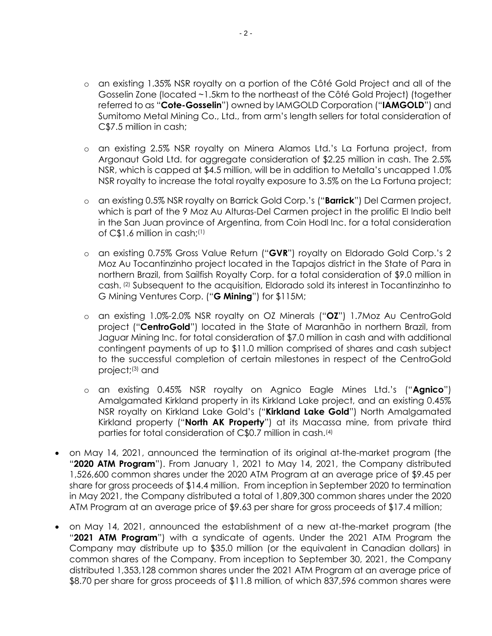- o an existing 1.35% NSR royalty on a portion of the Côté Gold Project and all of the Gosselin Zone (located ~1.5km to the northeast of the Côté Gold Project) (together referred to as "**Cote-Gosselin**") owned by IAMGOLD Corporation ("**IAMGOLD**") and Sumitomo Metal Mining Co., Ltd., from arm's length sellers for total consideration of C\$7.5 million in cash;
- o an existing 2.5% NSR royalty on Minera Alamos Ltd.'s La Fortuna project, from Argonaut Gold Ltd. for aggregate consideration of \$2.25 million in cash. The 2.5% NSR, which is capped at \$4.5 million, will be in addition to Metalla's uncapped 1.0% NSR royalty to increase the total royalty exposure to 3.5% on the La Fortuna project;
- o an existing 0.5% NSR royalty on Barrick Gold Corp.'s ("**Barrick**") Del Carmen project, which is part of the 9 Moz Au Alturas-Del Carmen project in the prolific El Indio belt in the San Juan province of Argentina, from Coin Hodl Inc. for a total consideration of C\$1.6 million in cash;(1)
- o an existing 0.75% Gross Value Return ("**GVR**") royalty on Eldorado Gold Corp.'s 2 Moz Au Tocantinzinho project located in the Tapajos district in the State of Para in northern Brazil, from Sailfish Royalty Corp. for a total consideration of \$9.0 million in cash. (2) Subsequent to the acquisition, Eldorado sold its interest in Tocantinzinho to G Mining Ventures Corp. ("**G Mining**") for \$115M;
- o an existing 1.0%-2.0% NSR royalty on OZ Minerals ("**OZ**") 1.7Moz Au CentroGold project ("**CentroGold**") located in the State of Maranhão in northern Brazil, from Jaguar Mining Inc. for total consideration of \$7.0 million in cash and with additional contingent payments of up to \$11.0 million comprised of shares and cash subject to the successful completion of certain milestones in respect of the CentroGold project; (3) and
- o an existing 0.45% NSR royalty on Agnico Eagle Mines Ltd.'s ("**Agnico**") Amalgamated Kirkland property in its Kirkland Lake project, and an existing 0.45% NSR royalty on Kirkland Lake Gold's ("**Kirkland Lake Gold**") North Amalgamated Kirkland property ("**North AK Property**") at its Macassa mine, from private third parties for total consideration of C\$0.7 million in cash.(4)
- on May 14, 2021, announced the termination of its original at-the-market program (the "**2020 ATM Program**"). From January 1, 2021 to May 14, 2021, the Company distributed 1,526,600 common shares under the 2020 ATM Program at an average price of \$9.45 per share for gross proceeds of \$14.4 million. From inception in September 2020 to termination in May 2021, the Company distributed a total of 1,809,300 common shares under the 2020 ATM Program at an average price of \$9.63 per share for gross proceeds of \$17.4 million;
- on May 14, 2021, announced the establishment of a new at-the-market program (the "**2021 ATM Program**") with a syndicate of agents. Under the 2021 ATM Program the Company may distribute up to \$35.0 million (or the equivalent in Canadian dollars) in common shares of the Company. From inception to September 30, 2021, the Company distributed 1,353,128 common shares under the 2021 ATM Program at an average price of \$8.70 per share for gross proceeds of \$11.8 million, of which 837,596 common shares were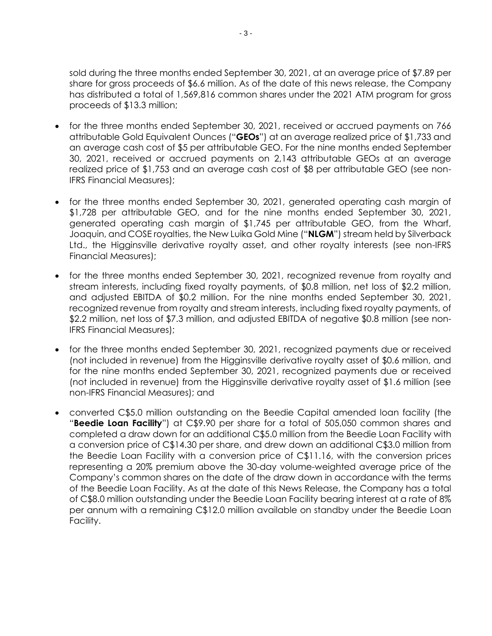sold during the three months ended September 30, 2021, at an average price of \$7.89 per share for gross proceeds of \$6.6 million. As of the date of this news release, the Company has distributed a total of 1,569,816 common shares under the 2021 ATM program for gross proceeds of \$13.3 million;

- for the three months ended September 30, 2021, received or accrued payments on 766 attributable Gold Equivalent Ounces ("**GEOs**") at an average realized price of \$1,733 and an average cash cost of \$5 per attributable GEO. For the nine months ended September 30, 2021, received or accrued payments on 2,143 attributable GEOs at an average realized price of \$1,753 and an average cash cost of \$8 per attributable GEO (see non-IFRS Financial Measures);
- for the three months ended September 30, 2021, generated operating cash margin of \$1,728 per attributable GEO, and for the nine months ended September 30, 2021, generated operating cash margin of \$1,745 per attributable GEO, from the Wharf, Joaquin, and COSE royalties, the New Luika Gold Mine ("**NLGM**") stream held by Silverback Ltd., the Higginsville derivative royalty asset, and other royalty interests (see non-IFRS Financial Measures);
- for the three months ended September 30, 2021, recognized revenue from royalty and stream interests, including fixed royalty payments, of \$0.8 million, net loss of \$2.2 million, and adjusted EBITDA of \$0.2 million. For the nine months ended September 30, 2021, recognized revenue from royalty and stream interests, including fixed royalty payments, of \$2.2 million, net loss of \$7.3 million, and adjusted EBITDA of negative \$0.8 million (see non-IFRS Financial Measures);
- for the three months ended September 30, 2021, recognized payments due or received (not included in revenue) from the Higginsville derivative royalty asset of \$0.6 million, and for the nine months ended September 30, 2021, recognized payments due or received (not included in revenue) from the Higginsville derivative royalty asset of \$1.6 million (see non-IFRS Financial Measures); and
- converted C\$5.0 million outstanding on the Beedie Capital amended loan facility (the "**Beedie Loan Facility**") at C\$9.90 per share for a total of 505,050 common shares and completed a draw down for an additional C\$5.0 million from the Beedie Loan Facility with a conversion price of C\$14.30 per share, and drew down an additional C\$3.0 million from the Beedie Loan Facility with a conversion price of C\$11.16, with the conversion prices representing a 20% premium above the 30-day volume-weighted average price of the Company's common shares on the date of the draw down in accordance with the terms of the Beedie Loan Facility. As at the date of this News Release, the Company has a total of C\$8.0 million outstanding under the Beedie Loan Facility bearing interest at a rate of 8% per annum with a remaining C\$12.0 million available on standby under the Beedie Loan Facility.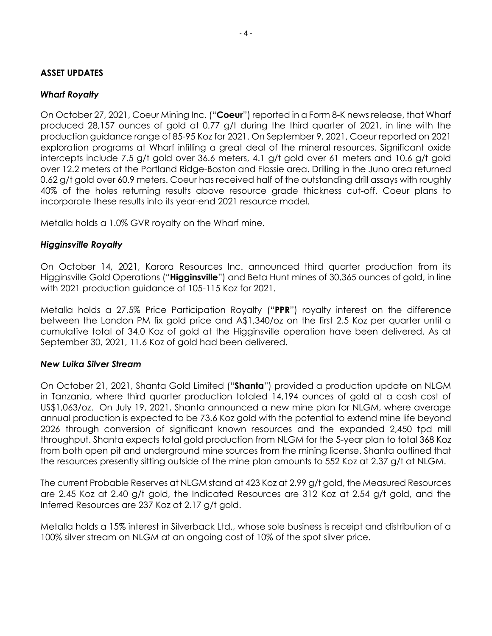## **ASSET UPDATES**

# *Wharf Royalty*

On October 27, 2021, Coeur Mining Inc. ("**Coeur**") reported in a Form 8-K news release, that Wharf produced 28,157 ounces of gold at 0.77 g/t during the third quarter of 2021, in line with the production guidance range of 85-95 Koz for 2021. On September 9, 2021, Coeur reported on 2021 exploration programs at Wharf infilling a great deal of the mineral resources. Significant oxide intercepts include 7.5 g/t gold over 36.6 meters, 4.1 g/t gold over 61 meters and 10.6 g/t gold over 12.2 meters at the Portland Ridge-Boston and Flossie area. Drilling in the Juno area returned 0.62 g/t gold over 60.9 meters. Coeur has received half of the outstanding drill assays with roughly 40% of the holes returning results above resource grade thickness cut-off. Coeur plans to incorporate these results into its year-end 2021 resource model.

Metalla holds a 1.0% GVR royalty on the Wharf mine.

# *Higginsville Royalty*

On October 14, 2021, Karora Resources Inc. announced third quarter production from its Higginsville Gold Operations ("**Higginsville**") and Beta Hunt mines of 30,365 ounces of gold, in line with 2021 production guidance of 105-115 Koz for 2021.

Metalla holds a 27.5% Price Participation Royalty ("**PPR**") royalty interest on the difference between the London PM fix gold price and A\$1,340/oz on the first 2.5 Koz per quarter until a cumulative total of 34.0 Koz of gold at the Higginsville operation have been delivered. As at September 30, 2021, 11.6 Koz of gold had been delivered.

### *New Luika Silver Stream*

On October 21, 2021, Shanta Gold Limited ("**Shanta**") provided a production update on NLGM in Tanzania, where third quarter production totaled 14,194 ounces of gold at a cash cost of US\$1,063/oz. On July 19, 2021, Shanta announced a new mine plan for NLGM, where average annual production is expected to be 73.6 Koz gold with the potential to extend mine life beyond 2026 through conversion of significant known resources and the expanded 2,450 tpd mill throughput. Shanta expects total gold production from NLGM for the 5-year plan to total 368 Koz from both open pit and underground mine sources from the mining license. Shanta outlined that the resources presently sitting outside of the mine plan amounts to 552 Koz at 2.37 g/t at NLGM.

The current Probable Reserves at NLGM stand at 423 Koz at 2.99 g/t gold, the Measured Resources are 2.45 Koz at 2.40 g/t gold, the Indicated Resources are 312 Koz at 2.54 g/t gold, and the Inferred Resources are 237 Koz at 2.17 g/t gold.

Metalla holds a 15% interest in Silverback Ltd., whose sole business is receipt and distribution of a 100% silver stream on NLGM at an ongoing cost of 10% of the spot silver price.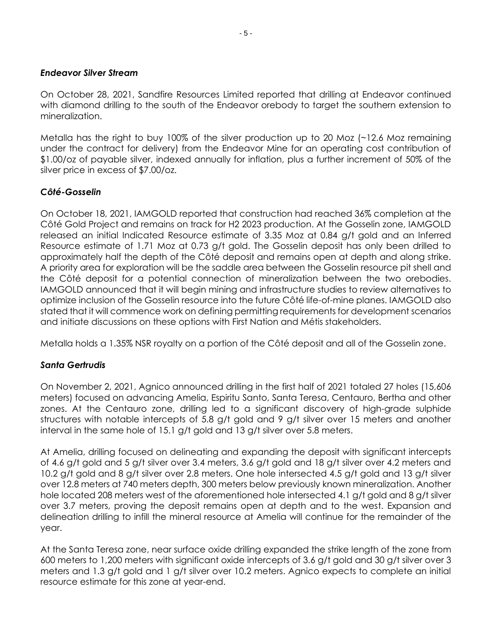### *Endeavor Silver Stream*

On October 28, 2021, Sandfire Resources Limited reported that drilling at Endeavor continued with diamond drilling to the south of the Endeavor orebody to target the southern extension to mineralization.

Metalla has the right to buy 100% of the silver production up to 20 Moz (~12.6 Moz remaining under the contract for delivery) from the Endeavor Mine for an operating cost contribution of \$1.00/oz of payable silver, indexed annually for inflation, plus a further increment of 50% of the silver price in excess of \$7.00/oz.

# *Côté-Gosselin*

On October 18, 2021, IAMGOLD reported that construction had reached 36% completion at the Côté Gold Project and remains on track for H2 2023 production. At the Gosselin zone, IAMGOLD released an initial Indicated Resource estimate of 3.35 Moz at 0.84 g/t gold and an Inferred Resource estimate of 1.71 Moz at 0.73 g/t gold. The Gosselin deposit has only been drilled to approximately half the depth of the Côté deposit and remains open at depth and along strike. A priority area for exploration will be the saddle area between the Gosselin resource pit shell and the Côté deposit for a potential connection of mineralization between the two orebodies. IAMGOLD announced that it will begin mining and infrastructure studies to review alternatives to optimize inclusion of the Gosselin resource into the future Côté life-of-mine planes. IAMGOLD also stated that it will commence work on defining permitting requirements for development scenarios and initiate discussions on these options with First Nation and Métis stakeholders.

Metalla holds a 1.35% NSR royalty on a portion of the Côté deposit and all of the Gosselin zone.

# *Santa Gertrudis*

On November 2, 2021, Agnico announced drilling in the first half of 2021 totaled 27 holes (15,606 meters) focused on advancing Amelia, Espiritu Santo, Santa Teresa, Centauro, Bertha and other zones. At the Centauro zone, drilling led to a significant discovery of high-grade sulphide structures with notable intercepts of 5.8 g/t gold and 9 g/t silver over 15 meters and another interval in the same hole of 15.1 g/t gold and 13 g/t silver over 5.8 meters.

At Amelia, drilling focused on delineating and expanding the deposit with significant intercepts of 4.6 g/t gold and 5 g/t silver over 3.4 meters, 3.6 g/t gold and 18 g/t silver over 4.2 meters and 10.2 g/t gold and 8 g/t silver over 2.8 meters. One hole intersected 4.5 g/t gold and 13 g/t silver over 12.8 meters at 740 meters depth, 300 meters below previously known mineralization. Another hole located 208 meters west of the aforementioned hole intersected 4.1 g/t gold and 8 g/t silver over 3.7 meters, proving the deposit remains open at depth and to the west. Expansion and delineation drilling to infill the mineral resource at Amelia will continue for the remainder of the year.

At the Santa Teresa zone, near surface oxide drilling expanded the strike length of the zone from 600 meters to 1,200 meters with significant oxide intercepts of 3.6 g/t gold and 30 g/t silver over 3 meters and 1.3 g/t gold and 1 g/t silver over 10.2 meters. Agnico expects to complete an initial resource estimate for this zone at year-end.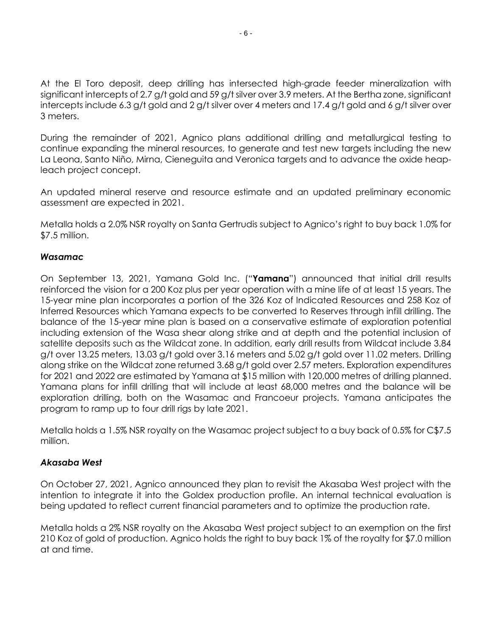At the El Toro deposit, deep drilling has intersected high-grade feeder mineralization with significant intercepts of 2.7 g/t gold and 59 g/t silver over 3.9 meters. At the Bertha zone, significant intercepts include 6.3 g/t gold and 2 g/t silver over 4 meters and 17.4 g/t gold and 6 g/t silver over 3 meters.

During the remainder of 2021, Agnico plans additional drilling and metallurgical testing to continue expanding the mineral resources, to generate and test new targets including the new La Leona, Santo Niño, Mirna, Cieneguita and Veronica targets and to advance the oxide heapleach project concept.

An updated mineral reserve and resource estimate and an updated preliminary economic assessment are expected in 2021.

Metalla holds a 2.0% NSR royalty on Santa Gertrudis subject to Agnico's right to buy back 1.0% for \$7.5 million.

# *Wasamac*

On September 13, 2021, Yamana Gold Inc. ("**Yamana**") announced that initial drill results reinforced the vision for a 200 Koz plus per year operation with a mine life of at least 15 years. The 15-year mine plan incorporates a portion of the 326 Koz of Indicated Resources and 258 Koz of Inferred Resources which Yamana expects to be converted to Reserves through infill drilling. The balance of the 15-year mine plan is based on a conservative estimate of exploration potential including extension of the Wasa shear along strike and at depth and the potential inclusion of satellite deposits such as the Wildcat zone. In addition, early drill results from Wildcat include 3.84 g/t over 13.25 meters, 13.03 g/t gold over 3.16 meters and 5.02 g/t gold over 11.02 meters. Drilling along strike on the Wildcat zone returned 3.68 g/t gold over 2.57 meters. Exploration expenditures for 2021 and 2022 are estimated by Yamana at \$15 million with 120,000 metres of drilling planned. Yamana plans for infill drilling that will include at least 68,000 metres and the balance will be exploration drilling, both on the Wasamac and Francoeur projects. Yamana anticipates the program to ramp up to four drill rigs by late 2021.

Metalla holds a 1.5% NSR royalty on the Wasamac project subject to a buy back of 0.5% for C\$7.5 million.

### *Akasaba West*

On October 27, 2021, Agnico announced they plan to revisit the Akasaba West project with the intention to integrate it into the Goldex production profile. An internal technical evaluation is being updated to reflect current financial parameters and to optimize the production rate.

Metalla holds a 2% NSR royalty on the Akasaba West project subject to an exemption on the first 210 Koz of gold of production. Agnico holds the right to buy back 1% of the royalty for \$7.0 million at and time.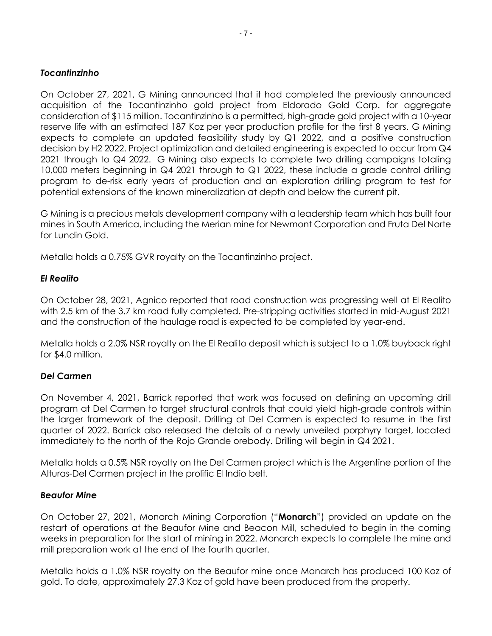# *Tocantinzinho*

On October 27, 2021, G Mining announced that it had completed the previously announced acquisition of the Tocantinzinho gold project from Eldorado Gold Corp. for aggregate consideration of \$115 million. Tocantinzinho is a permitted, high-grade gold project with a 10-year reserve life with an estimated 187 Koz per year production profile for the first 8 years. G Mining expects to complete an updated feasibility study by Q1 2022, and a positive construction decision by H2 2022. Project optimization and detailed engineering is expected to occur from Q4 2021 through to Q4 2022. G Mining also expects to complete two drilling campaigns totaling 10,000 meters beginning in Q4 2021 through to Q1 2022, these include a grade control drilling program to de-risk early years of production and an exploration drilling program to test for potential extensions of the known mineralization at depth and below the current pit.

G Mining is a precious metals development company with a leadership team which has built four mines in South America, including the Merian mine for Newmont Corporation and Fruta Del Norte for Lundin Gold.

Metalla holds a 0.75% GVR royalty on the Tocantinzinho project.

# *El Realito*

On October 28, 2021, Agnico reported that road construction was progressing well at El Realito with 2.5 km of the 3.7 km road fully completed. Pre-stripping activities started in mid-August 2021 and the construction of the haulage road is expected to be completed by year-end.

Metalla holds a 2.0% NSR royalty on the El Realito deposit which is subject to a 1.0% buyback right for \$4.0 million.

# *Del Carmen*

On November 4, 2021, Barrick reported that work was focused on defining an upcoming drill program at Del Carmen to target structural controls that could yield high-grade controls within the larger framework of the deposit. Drilling at Del Carmen is expected to resume in the first quarter of 2022. Barrick also released the details of a newly unveiled porphyry target, located immediately to the north of the Rojo Grande orebody. Drilling will begin in Q4 2021.

Metalla holds a 0.5% NSR royalty on the Del Carmen project which is the Argentine portion of the Alturas-Del Carmen project in the prolific El Indio belt.

### *Beaufor Mine*

On October 27, 2021, Monarch Mining Corporation ("**Monarch**") provided an update on the restart of operations at the Beaufor Mine and Beacon Mill, scheduled to begin in the coming weeks in preparation for the start of mining in 2022. Monarch expects to complete the mine and mill preparation work at the end of the fourth quarter.

Metalla holds a 1.0% NSR royalty on the Beaufor mine once Monarch has produced 100 Koz of gold. To date, approximately 27.3 Koz of gold have been produced from the property.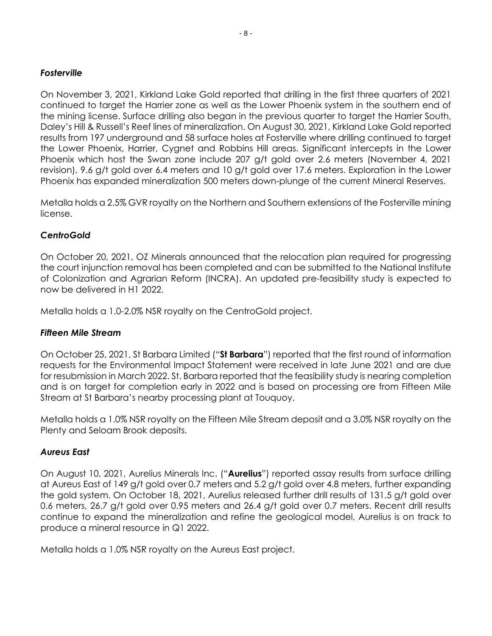## *Fosterville*

On November 3, 2021, Kirkland Lake Gold reported that drilling in the first three quarters of 2021 continued to target the Harrier zone as well as the Lower Phoenix system in the southern end of the mining license. Surface drilling also began in the previous quarter to target the Harrier South, Daley's Hill & Russell's Reef lines of mineralization. On August 30, 2021, Kirkland Lake Gold reported results from 197 underground and 58 surface holes at Fosterville where drilling continued to target the Lower Phoenix, Harrier, Cygnet and Robbins Hill areas. Significant intercepts in the Lower Phoenix which host the Swan zone include 207 g/t gold over 2.6 meters (November 4, 2021 revision), 9.6 g/t gold over 6.4 meters and 10 g/t gold over 17.6 meters. Exploration in the Lower Phoenix has expanded mineralization 500 meters down-plunge of the current Mineral Reserves.

Metalla holds a 2.5% GVR royalty on the Northern and Southern extensions of the Fosterville mining license.

# *CentroGold*

On October 20, 2021, OZ Minerals announced that the relocation plan required for progressing the court injunction removal has been completed and can be submitted to the National Institute of Colonization and Agrarian Reform (INCRA). An updated pre-feasibility study is expected to now be delivered in H1 2022.

Metalla holds a 1.0-2.0% NSR royalty on the CentroGold project.

### *Fifteen Mile Stream*

On October 25, 2021, St Barbara Limited ("**St Barbara**") reported that the first round of information requests for the Environmental Impact Statement were received in late June 2021 and are due for resubmission in March 2022. St. Barbara reported that the feasibility study is nearing completion and is on target for completion early in 2022 and is based on processing ore from Fifteen Mile Stream at St Barbara's nearby processing plant at Touquoy.

Metalla holds a 1.0% NSR royalty on the Fifteen Mile Stream deposit and a 3.0% NSR royalty on the Plenty and Seloam Brook deposits.

### *Aureus East*

On August 10, 2021, Aurelius Minerals Inc. ("**Aurelius**") reported assay results from surface drilling at Aureus East of 149 g/t gold over 0.7 meters and 5.2 g/t gold over 4.8 meters, further expanding the gold system. On October 18, 2021, Aurelius released further drill results of 131.5 g/t gold over 0.6 meters, 26.7 g/t gold over 0.95 meters and 26.4 g/t gold over 0.7 meters. Recent drill results continue to expand the mineralization and refine the geological model, Aurelius is on track to produce a mineral resource in Q1 2022.

Metalla holds a 1.0% NSR royalty on the Aureus East project.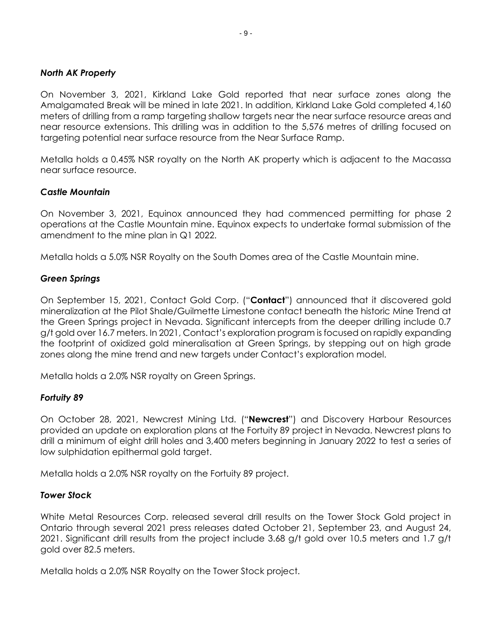# *North AK Property*

On November 3, 2021, Kirkland Lake Gold reported that near surface zones along the Amalgamated Break will be mined in late 2021. In addition, Kirkland Lake Gold completed 4,160 meters of drilling from a ramp targeting shallow targets near the near surface resource areas and near resource extensions. This drilling was in addition to the 5,576 metres of drilling focused on targeting potential near surface resource from the Near Surface Ramp.

Metalla holds a 0.45% NSR royalty on the North AK property which is adjacent to the Macassa near surface resource.

# *Castle Mountain*

On November 3, 2021, Equinox announced they had commenced permitting for phase 2 operations at the Castle Mountain mine. Equinox expects to undertake formal submission of the amendment to the mine plan in Q1 2022.

Metalla holds a 5.0% NSR Royalty on the South Domes area of the Castle Mountain mine.

# *Green Springs*

On September 15, 2021, Contact Gold Corp. ("**Contact**") announced that it discovered gold mineralization at the Pilot Shale/Guilmette Limestone contact beneath the historic Mine Trend at the Green Springs project in Nevada. Significant intercepts from the deeper drilling include 0.7 g/t gold over 16.7 meters. In 2021, Contact's exploration program is focused on rapidly expanding the footprint of oxidized gold mineralisation at Green Springs, by stepping out on high grade zones along the mine trend and new targets under Contact's exploration model.

Metalla holds a 2.0% NSR royalty on Green Springs.

# *Fortuity 89*

On October 28, 2021, Newcrest Mining Ltd. ("**Newcrest**") and Discovery Harbour Resources provided an update on exploration plans at the Fortuity 89 project in Nevada. Newcrest plans to drill a minimum of eight drill holes and 3,400 meters beginning in January 2022 to test a series of low sulphidation epithermal gold target.

Metalla holds a 2.0% NSR royalty on the Fortuity 89 project.

### *Tower Stock*

White Metal Resources Corp. released several drill results on the Tower Stock Gold project in Ontario through several 2021 press releases dated October 21, September 23, and August 24, 2021. Significant drill results from the project include 3.68 g/t gold over 10.5 meters and 1.7 g/t gold over 82.5 meters.

Metalla holds a 2.0% NSR Royalty on the Tower Stock project.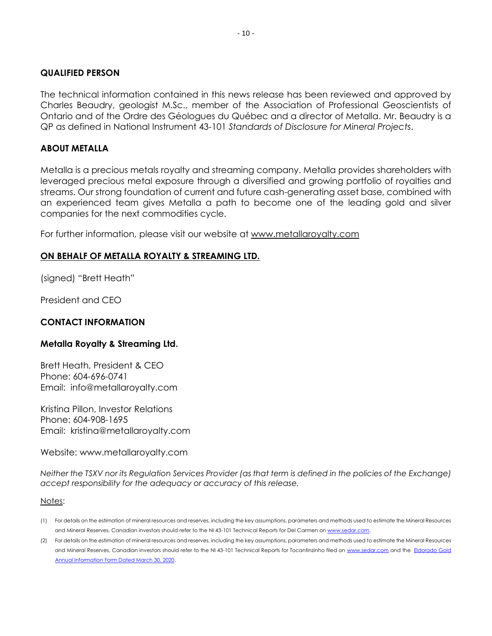### **QUALIFIED PERSON**

The technical information contained in this news release has been reviewed and approved by Charles Beaudry, geologist M.Sc., member of the Association of Professional Geoscientists of Ontario and of the Ordre des Géologues du Québec and a director of Metalla. Mr. Beaudry is a QP as defined in National Instrument 43-101 *Standards of Disclosure for Mineral Projects*.

#### **ABOUT METALLA**

Metalla is a precious metals royalty and streaming company. Metalla provides shareholders with leveraged precious metal exposure through a diversified and growing portfolio of royalties and streams. Our strong foundation of current and future cash-generating asset base, combined with an experienced team gives Metalla a path to become one of the leading gold and silver companies for the next commodities cycle.

For further information, please visit our website at [www.metallaroyalty.com](http://www.metallaroyalty.com/)

### **ON BEHALF OF METALLA ROYALTY & STREAMING LTD.**

(signed) "Brett Heath"

President and CEO

### **CONTACT INFORMATION**

#### **Metalla Royalty & Streaming Ltd.**

Brett Heath, President & CEO Phone: [604-696-0741](tel:604-696-0741) Email: info@metallaroyalty.com

Kristina Pillon, Investor Relations Phone: 604-908-1695 Email: kristina@metallaroyalty.com

Website: [www.metallaroyalty.com](http://www.metallaroyalty.com/)

*Neither the TSXV nor its Regulation Services Provider (as that term is defined in the policies of the Exchange) accept responsibility for the adequacy or accuracy of this release.*

#### Notes:

- (1) For details on the estimation of mineral resources and reserves, including the key assumptions, parameters and methods used to estimate the Mineral Resources and Mineral Reserves, Canadian investors should refer to the NI 43-101 Technical Reports for Del Carmen o[n www.sedar.com.](http://www.sedar.com/)
- (2) For details on the estimation of mineral resources and reserves, including the key assumptions, parameters and methods used to estimate the Mineral Resources and Mineral Reserves, Canadian investors should refer to the NI 43-101 Technical Reports for Tocantinzinho filed on [www.sedar.com](http://www.sedar.com/) and the [Eldorado](http://d18rn0p25nwr6d.cloudfront.net/CIK-0000918608/fbad7905-08f2-41b4-b066-5d32473c7b77.pdf) Gold [Annual Information Form Dated March 30, 2020.](http://d18rn0p25nwr6d.cloudfront.net/CIK-0000918608/fbad7905-08f2-41b4-b066-5d32473c7b77.pdf)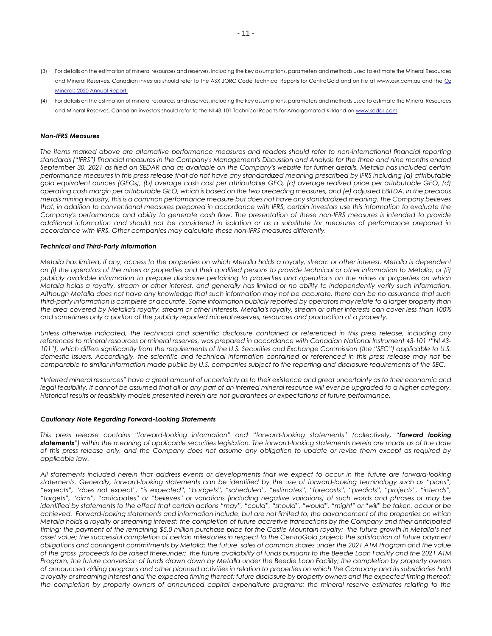- (3) For details on the estimation of mineral resources and reserves, including the key assumptions, parameters and methods used to estimate the Mineral Resources and Mineral Reserves, Canadian investors should refer to the ASX JORC Code Technical Reports for CentroGold and on file at www.asx.com.au and the [Oz](https://www.ozminerals.com/uploads/media/210218_OZ_Minerals_2020_Annual_and_Sustainability_Report.pdf)  [Minerals 2020 Annual Report.](https://www.ozminerals.com/uploads/media/210218_OZ_Minerals_2020_Annual_and_Sustainability_Report.pdf)
- (4) For details on the estimation of mineral resources and reserves, including the key assumptions, parameters and methods used to estimate the Mineral Resources and Mineral Reserves, Canadian investors should refer to the NI 43-101 Technical Reports for Amalgamated Kirkland o[n www.sedar.com.](http://www.sedar.com/)

#### *Non-IFRS Measures*

*The items marked above are alternative performance measures and readers should refer to non-international financial reporting standards ("IFRS") financial measures in the Company's Management's Discussion and Analysis for the three and nine months ended September 30, 2021 as filed on SEDAR and as available on the Company's website for further details. Metalla has included certain performance measures in this press release that do not have any standardized meaning prescribed by IFRS including (a) attributable gold equivalent ounces (GEOs), (b) average cash cost per attributable GEO, (c) average realized price per attributable GEO, (d) operating cash margin per attributable GEO, which is based on the two preceding measures, and (e) adjusted EBITDA. In the precious metals mining industry, this is a common performance measure but does not have any standardized meaning. The Company believes that, in addition to conventional measures prepared in accordance with IFRS, certain investors use this information to evaluate the Company's performance and ability to generate cash flow. The presentation of these non-IFRS measures is intended to provide additional information and should not be considered in isolation or as a substitute for measures of performance prepared in accordance with IFRS. Other companies may calculate these non-IFRS measures differently.*

#### *Technical and Third-Party Information*

*Metalla has limited, if any, access to the properties on which Metalla holds a royalty, stream or other interest. Metalla is dependent on (i) the operators of the mines or properties and their qualified persons to provide technical or other information to Metalla, or (ii) publicly available information to prepare disclosure pertaining to properties and operations on the mines or properties on which Metalla holds a royalty, stream or other interest, and generally has limited or no ability to independently verify such information. Although Metalla does not have any knowledge that such information may not be accurate, there can be no assurance that such third-party information is complete or accurate. Some information publicly reported by operators may relate to a larger property than the area covered by Metalla's royalty, stream or other interests. Metalla's royalty, stream or other interests can cover less than 100% and sometimes only a portion of the publicly reported mineral reserves, resources and production of a property.*

*Unless otherwise indicated, the technical and scientific disclosure contained or referenced in this press release, including any references to mineral resources or mineral reserves, was prepared in accordance with Canadian National Instrument 43-101 ("NI 43-* 101"), which differs significantly from the requirements of the U.S. Securities and Exchange Commission (the "SEC") applicable to U.S. *domestic issuers. Accordingly, the scientific and technical information contained or referenced in this press release may not be comparable to similar information made public by U.S. companies subject to the reporting and disclosure requirements of the SEC.*

*"Inferred mineral resources" have a great amount of uncertainty as to their existence and great uncertainty as to their economic and*  legal feasibility. It cannot be assumed that all or any part of an inferred mineral resource will ever be upgraded to a higher category. *Historical results or feasibility models presented herein are not guarantees or expectations of future performance.*

#### *Cautionary Note Regarding Forward-Looking Statements*

*This press release contains "forward-looking information" and "forward-looking statements" (collectively, "forward looking statements") within the meaning of applicable securities legislation. The forward-looking statements herein are made as of the date of this press release only, and the Company does not assume any obligation to update or revise them except as required by applicable law.*

*All statements included herein that address events or developments that we expect to occur in the future are forward-looking statements. Generally, forward-looking statements can be identified by the use of forward-looking terminology such as "plans", "expects", "does not expect", "is expected", "budgets", "scheduled", "estimates", "forecasts", "predicts", "projects", "intends", "targets", "aims", "anticipates" or "believes" or variations (including negative variations) of such words and phrases or may be identified by statements to the effect that certain actions "may", "could", "should", "would", "might" or "will" be taken, occur or be achieved. Forward-looking statements and information include, but are not limited to, the advancement of the properties on which Metalla holds a royalty or streaming interest; the completion of future accretive transactions by the Company and their anticipated timing; the payment of the remaining \$5.0 million purchase price for the Castle Mountain royalty; the future growth in Metalla's net asset value; the successful completion of certain milestones in respect to the CentroGold project; the satisfaction of future payment obligations and contingent commitments by Metalla; the future sales of common shares under the 2021 ATM Program and the value of the gross proceeds to be raised thereunder; the future availability of funds pursuant to the Beedie Loan Facility and the 2021 ATM Program; the future conversion of funds drawn down by Metalla under the Beedie Loan Facility; the completion by property owners of announced drilling programs and other planned activities in relation to properties on which the Company and its subsidiaries hold a royalty or streaming interest and the expected timing thereof; future disclosure by property owners and the expected timing thereof; the completion by property owners of announced capital expenditure programs; the mineral reserve estimates relating to the*